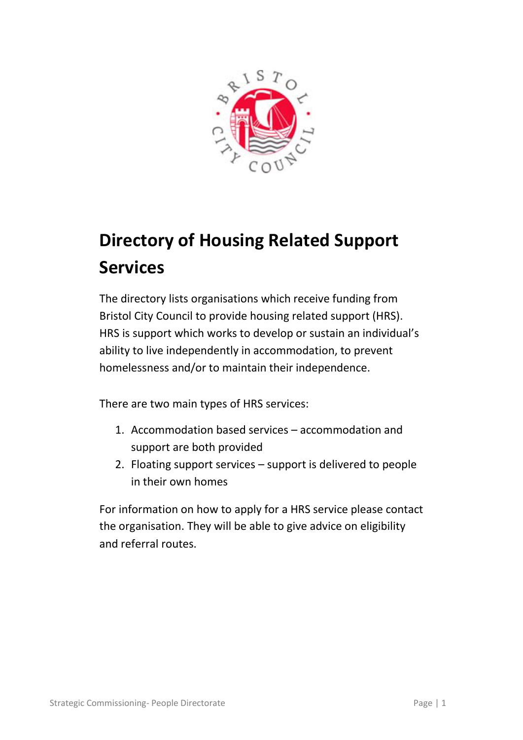

# **Directory of Housing Related Support Services**

The directory lists organisations which receive funding from Bristol City Council to provide housing related support (HRS). HRS is support which works to develop or sustain an individual's ability to live independently in accommodation, to prevent homelessness and/or to maintain their independence.

There are two main types of HRS services:

- 1. Accommodation based services accommodation and support are both provided
- 2. Floating support services support is delivered to people in their own homes

For information on how to apply for a HRS service please contact the organisation. They will be able to give advice on eligibility and referral routes.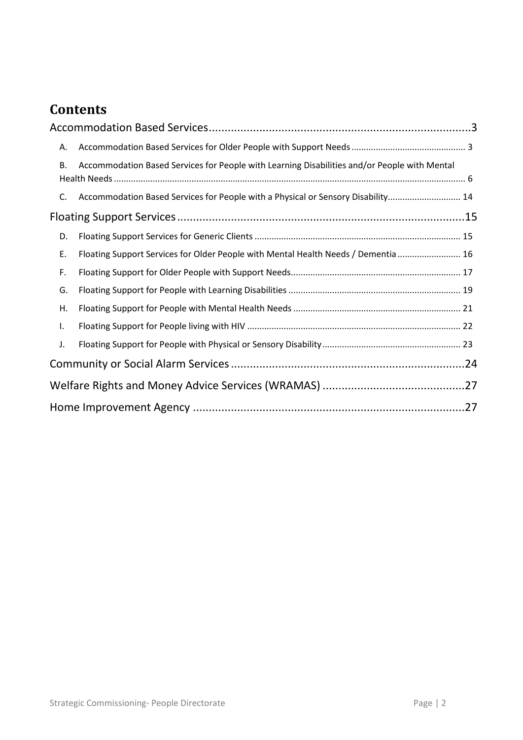# **Contents**

| А. |                                                                                              |  |
|----|----------------------------------------------------------------------------------------------|--|
| В. | Accommodation Based Services for People with Learning Disabilities and/or People with Mental |  |
| C. | Accommodation Based Services for People with a Physical or Sensory Disability 14             |  |
|    |                                                                                              |  |
| D. |                                                                                              |  |
| Ε. | Floating Support Services for Older People with Mental Health Needs / Dementia  16           |  |
| F. |                                                                                              |  |
| G. |                                                                                              |  |
| Η. |                                                                                              |  |
| I. |                                                                                              |  |
| J. |                                                                                              |  |
|    |                                                                                              |  |
|    |                                                                                              |  |
|    |                                                                                              |  |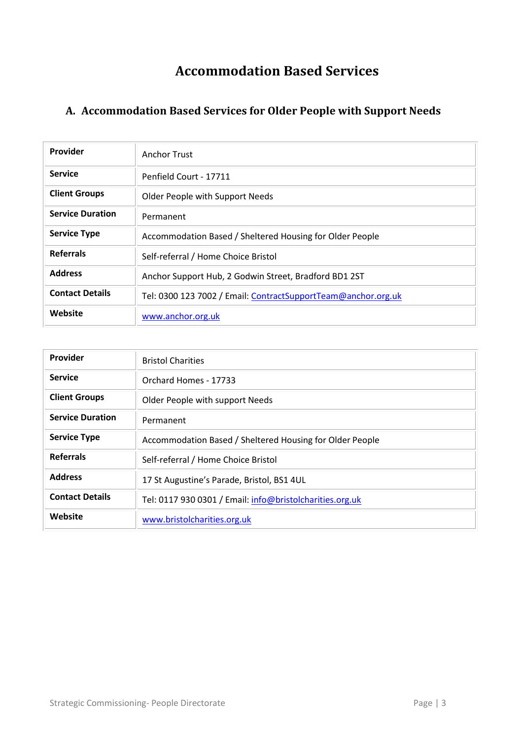# **Accommodation Based Services**

#### <span id="page-2-1"></span><span id="page-2-0"></span>**A. Accommodation Based Services for Older People with Support Needs**

| Provider                | Anchor Trust                                                  |
|-------------------------|---------------------------------------------------------------|
| <b>Service</b>          | Penfield Court - 17711                                        |
| <b>Client Groups</b>    | Older People with Support Needs                               |
| <b>Service Duration</b> | Permanent                                                     |
| <b>Service Type</b>     | Accommodation Based / Sheltered Housing for Older People      |
| <b>Referrals</b>        | Self-referral / Home Choice Bristol                           |
| <b>Address</b>          | Anchor Support Hub, 2 Godwin Street, Bradford BD1 2ST         |
| <b>Contact Details</b>  | Tel: 0300 123 7002 / Email: ContractSupportTeam@anchor.org.uk |
| Website                 | www.anchor.org.uk                                             |

| Provider                | <b>Bristol Charities</b>                                 |
|-------------------------|----------------------------------------------------------|
| <b>Service</b>          | Orchard Homes - 17733                                    |
| <b>Client Groups</b>    | Older People with support Needs                          |
| <b>Service Duration</b> | Permanent                                                |
| <b>Service Type</b>     | Accommodation Based / Sheltered Housing for Older People |
| <b>Referrals</b>        | Self-referral / Home Choice Bristol                      |
| <b>Address</b>          | 17 St Augustine's Parade, Bristol, BS1 4UL               |
| <b>Contact Details</b>  | Tel: 0117 930 0301 / Email: info@bristolcharities.org.uk |
| Website                 | www.bristolcharities.org.uk                              |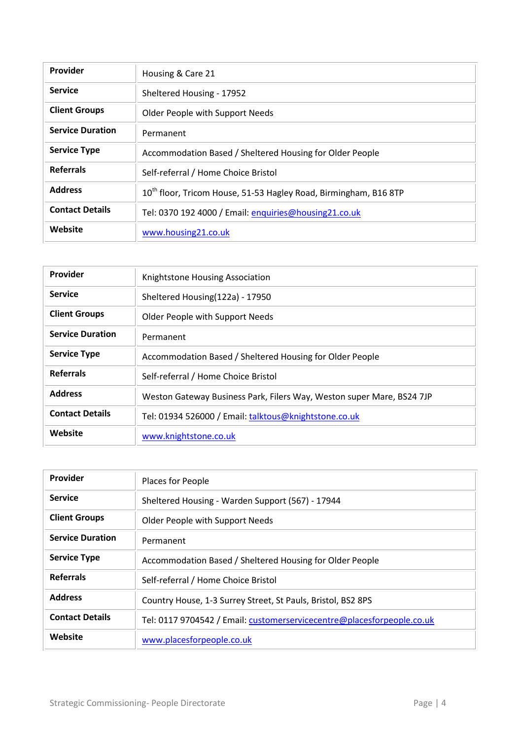| <b>Provider</b>         | Housing & Care 21                                                            |
|-------------------------|------------------------------------------------------------------------------|
| <b>Service</b>          | Sheltered Housing - 17952                                                    |
| <b>Client Groups</b>    | Older People with Support Needs                                              |
| <b>Service Duration</b> | Permanent                                                                    |
| <b>Service Type</b>     | Accommodation Based / Sheltered Housing for Older People                     |
| <b>Referrals</b>        | Self-referral / Home Choice Bristol                                          |
| <b>Address</b>          | 10 <sup>th</sup> floor, Tricom House, 51-53 Hagley Road, Birmingham, B16 8TP |
| <b>Contact Details</b>  | Tel: 0370 192 4000 / Email: enquiries@housing21.co.uk                        |
| Website                 | www.housing21.co.uk                                                          |

| Provider                | Knightstone Housing Association                                       |
|-------------------------|-----------------------------------------------------------------------|
| <b>Service</b>          | Sheltered Housing(122a) - 17950                                       |
| <b>Client Groups</b>    | Older People with Support Needs                                       |
| <b>Service Duration</b> | Permanent                                                             |
| <b>Service Type</b>     | Accommodation Based / Sheltered Housing for Older People              |
| <b>Referrals</b>        | Self-referral / Home Choice Bristol                                   |
| <b>Address</b>          | Weston Gateway Business Park, Filers Way, Weston super Mare, BS24 7JP |
| <b>Contact Details</b>  | Tel: 01934 526000 / Email: talktous@knightstone.co.uk                 |
| Website                 | www.knightstone.co.uk                                                 |

| Provider                | Places for People                                                      |
|-------------------------|------------------------------------------------------------------------|
| <b>Service</b>          | Sheltered Housing - Warden Support (567) - 17944                       |
| <b>Client Groups</b>    | Older People with Support Needs                                        |
| <b>Service Duration</b> | Permanent                                                              |
| <b>Service Type</b>     | Accommodation Based / Sheltered Housing for Older People               |
| <b>Referrals</b>        | Self-referral / Home Choice Bristol                                    |
| <b>Address</b>          | Country House, 1-3 Surrey Street, St Pauls, Bristol, BS2 8PS           |
| <b>Contact Details</b>  | Tel: 0117 9704542 / Email: customerservicecentre@placesforpeople.co.uk |
| Website                 | www.placesforpeople.co.uk                                              |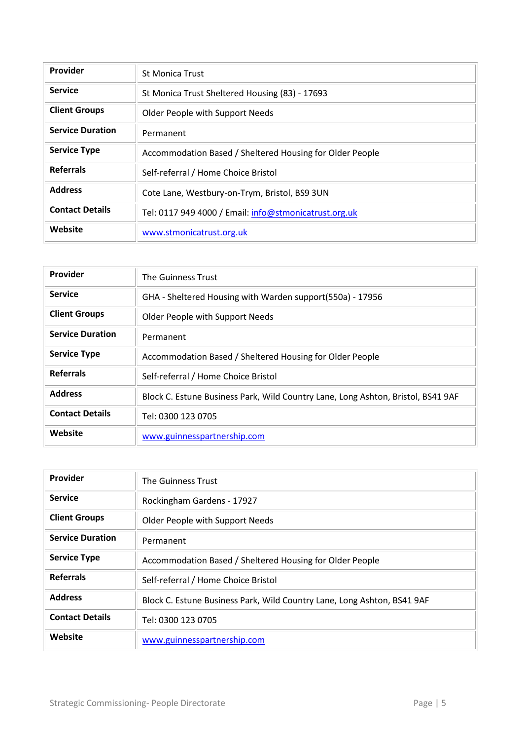| Provider                | <b>St Monica Trust</b>                                   |
|-------------------------|----------------------------------------------------------|
| <b>Service</b>          | St Monica Trust Sheltered Housing (83) - 17693           |
| <b>Client Groups</b>    | Older People with Support Needs                          |
| <b>Service Duration</b> | Permanent                                                |
| <b>Service Type</b>     | Accommodation Based / Sheltered Housing for Older People |
| <b>Referrals</b>        | Self-referral / Home Choice Bristol                      |
| <b>Address</b>          | Cote Lane, Westbury-on-Trym, Bristol, BS9 3UN            |
| <b>Contact Details</b>  | Tel: 0117 949 4000 / Email: info@stmonicatrust.org.uk    |
| Website                 | www.stmonicatrust.org.uk                                 |

| Provider                | The Guinness Trust                                                               |
|-------------------------|----------------------------------------------------------------------------------|
| <b>Service</b>          | GHA - Sheltered Housing with Warden support(550a) - 17956                        |
| <b>Client Groups</b>    | Older People with Support Needs                                                  |
| <b>Service Duration</b> | Permanent                                                                        |
| <b>Service Type</b>     | Accommodation Based / Sheltered Housing for Older People                         |
| <b>Referrals</b>        | Self-referral / Home Choice Bristol                                              |
| <b>Address</b>          | Block C. Estune Business Park, Wild Country Lane, Long Ashton, Bristol, BS41 9AF |
| <b>Contact Details</b>  | Tel: 0300 123 0705                                                               |
| Website                 | www.guinnesspartnership.com                                                      |

| Provider                | The Guinness Trust                                                      |
|-------------------------|-------------------------------------------------------------------------|
| <b>Service</b>          | Rockingham Gardens - 17927                                              |
| <b>Client Groups</b>    | Older People with Support Needs                                         |
| <b>Service Duration</b> | Permanent                                                               |
| <b>Service Type</b>     | Accommodation Based / Sheltered Housing for Older People                |
| <b>Referrals</b>        | Self-referral / Home Choice Bristol                                     |
| <b>Address</b>          | Block C. Estune Business Park, Wild Country Lane, Long Ashton, BS41 9AF |
| <b>Contact Details</b>  | Tel: 0300 123 0705                                                      |
| Website                 | www.guinnesspartnership.com                                             |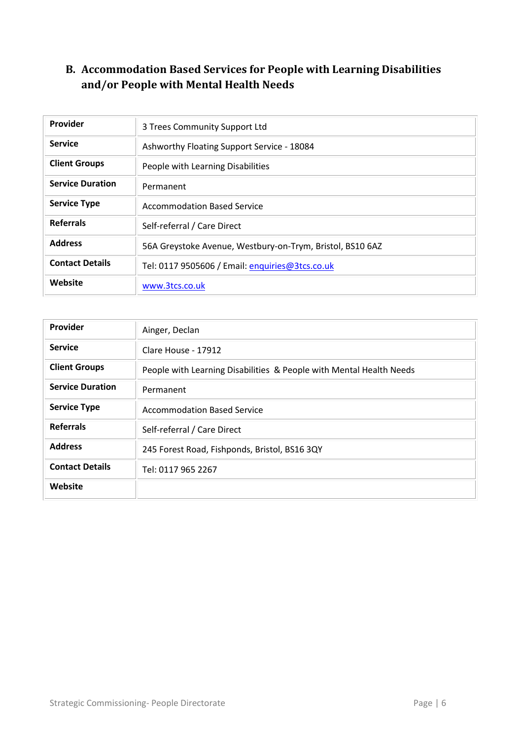#### <span id="page-5-0"></span>**B. Accommodation Based Services for People with Learning Disabilities and/or People with Mental Health Needs**

| <b>Provider</b>         | 3 Trees Community Support Ltd                             |
|-------------------------|-----------------------------------------------------------|
| <b>Service</b>          | Ashworthy Floating Support Service - 18084                |
| <b>Client Groups</b>    | People with Learning Disabilities                         |
| <b>Service Duration</b> | Permanent                                                 |
| <b>Service Type</b>     | <b>Accommodation Based Service</b>                        |
| <b>Referrals</b>        | Self-referral / Care Direct                               |
| <b>Address</b>          | 56A Greystoke Avenue, Westbury-on-Trym, Bristol, BS10 6AZ |
| <b>Contact Details</b>  | Tel: 0117 9505606 / Email: enquiries@3tcs.co.uk           |
| Website                 | www.3tcs.co.uk                                            |

| Provider                | Ainger, Declan                                                      |
|-------------------------|---------------------------------------------------------------------|
| <b>Service</b>          | Clare House - 17912                                                 |
| <b>Client Groups</b>    | People with Learning Disabilities & People with Mental Health Needs |
| <b>Service Duration</b> | Permanent                                                           |
| <b>Service Type</b>     | <b>Accommodation Based Service</b>                                  |
| <b>Referrals</b>        | Self-referral / Care Direct                                         |
| <b>Address</b>          | 245 Forest Road, Fishponds, Bristol, BS16 3QY                       |
| <b>Contact Details</b>  | Tel: 0117 965 2267                                                  |
| Website                 |                                                                     |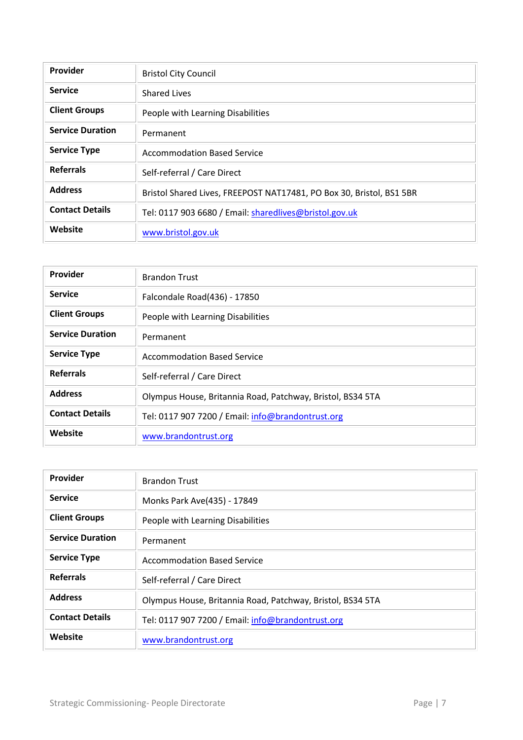| Provider                | <b>Bristol City Council</b>                                          |
|-------------------------|----------------------------------------------------------------------|
| <b>Service</b>          | <b>Shared Lives</b>                                                  |
| <b>Client Groups</b>    | People with Learning Disabilities                                    |
| <b>Service Duration</b> | Permanent                                                            |
| <b>Service Type</b>     | <b>Accommodation Based Service</b>                                   |
| <b>Referrals</b>        | Self-referral / Care Direct                                          |
| <b>Address</b>          | Bristol Shared Lives, FREEPOST NAT17481, PO Box 30, Bristol, BS1 5BR |
| <b>Contact Details</b>  | Tel: 0117 903 6680 / Email: sharedlives@bristol.gov.uk               |
| Website                 | www.bristol.gov.uk                                                   |

| <b>Provider</b>         | <b>Brandon Trust</b>                                       |
|-------------------------|------------------------------------------------------------|
| <b>Service</b>          | Falcondale Road(436) - 17850                               |
| <b>Client Groups</b>    | People with Learning Disabilities                          |
| <b>Service Duration</b> | Permanent                                                  |
| <b>Service Type</b>     | <b>Accommodation Based Service</b>                         |
| <b>Referrals</b>        | Self-referral / Care Direct                                |
| <b>Address</b>          | Olympus House, Britannia Road, Patchway, Bristol, BS34 5TA |
| <b>Contact Details</b>  | Tel: 0117 907 7200 / Email: info@brandontrust.org          |
| Website                 | www.brandontrust.org                                       |

| Provider                | <b>Brandon Trust</b>                                       |
|-------------------------|------------------------------------------------------------|
| <b>Service</b>          | Monks Park Ave(435) - 17849                                |
| <b>Client Groups</b>    | People with Learning Disabilities                          |
| <b>Service Duration</b> | Permanent                                                  |
| <b>Service Type</b>     | <b>Accommodation Based Service</b>                         |
| <b>Referrals</b>        | Self-referral / Care Direct                                |
| <b>Address</b>          | Olympus House, Britannia Road, Patchway, Bristol, BS34 5TA |
| <b>Contact Details</b>  | Tel: 0117 907 7200 / Email: info@brandontrust.org          |
| Website                 | www.brandontrust.org                                       |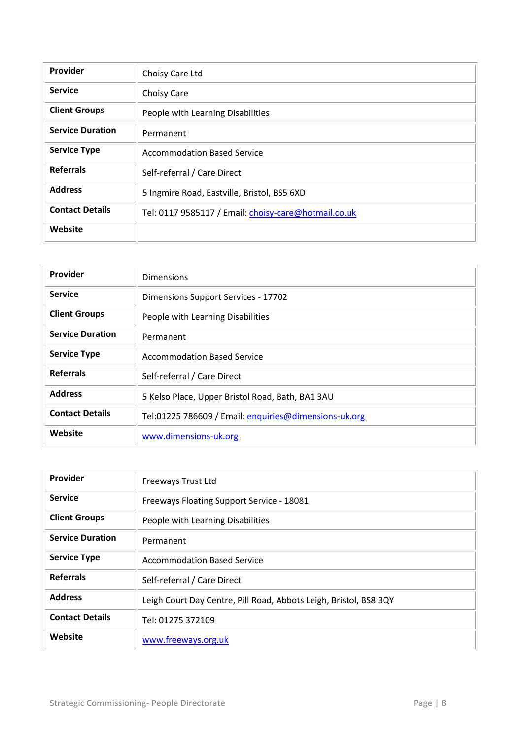| Provider                | Choisy Care Ltd                                      |
|-------------------------|------------------------------------------------------|
| <b>Service</b>          | Choisy Care                                          |
| <b>Client Groups</b>    | People with Learning Disabilities                    |
| <b>Service Duration</b> | Permanent                                            |
| <b>Service Type</b>     | <b>Accommodation Based Service</b>                   |
| <b>Referrals</b>        | Self-referral / Care Direct                          |
| <b>Address</b>          | 5 Ingmire Road, Eastville, Bristol, BS5 6XD          |
| <b>Contact Details</b>  | Tel: 0117 9585117 / Email: choisy-care@hotmail.co.uk |
| Website                 |                                                      |

| Provider                | <b>Dimensions</b>                                     |
|-------------------------|-------------------------------------------------------|
| <b>Service</b>          | Dimensions Support Services - 17702                   |
| <b>Client Groups</b>    | People with Learning Disabilities                     |
| <b>Service Duration</b> | Permanent                                             |
| <b>Service Type</b>     | Accommodation Based Service                           |
| <b>Referrals</b>        | Self-referral / Care Direct                           |
| <b>Address</b>          | 5 Kelso Place, Upper Bristol Road, Bath, BA1 3AU      |
| <b>Contact Details</b>  | Tel:01225 786609 / Email: enquiries@dimensions-uk.org |
| Website                 | www.dimensions-uk.org                                 |

| Provider                | Freeways Trust Ltd                                                |
|-------------------------|-------------------------------------------------------------------|
| <b>Service</b>          | Freeways Floating Support Service - 18081                         |
| <b>Client Groups</b>    | People with Learning Disabilities                                 |
| <b>Service Duration</b> | Permanent                                                         |
| <b>Service Type</b>     | <b>Accommodation Based Service</b>                                |
| <b>Referrals</b>        | Self-referral / Care Direct                                       |
| <b>Address</b>          | Leigh Court Day Centre, Pill Road, Abbots Leigh, Bristol, BS8 3QY |
| <b>Contact Details</b>  | Tel: 01275 372109                                                 |
| Website                 | www.freeways.org.uk                                               |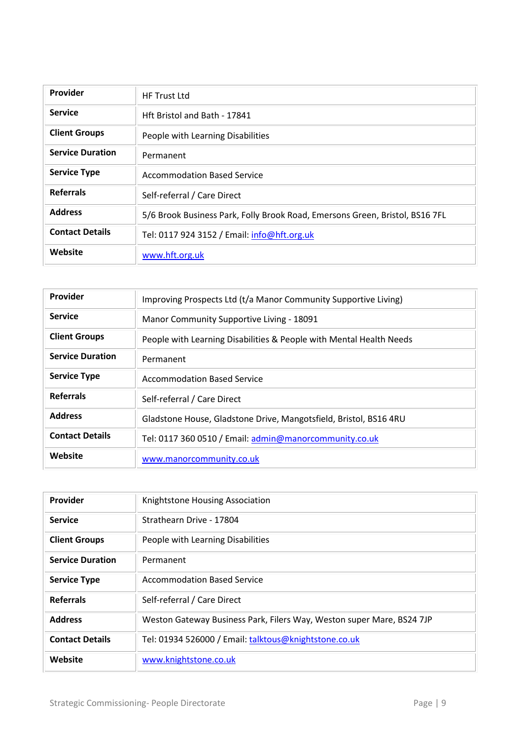| Provider                | <b>HF Trust Ltd</b>                                                          |
|-------------------------|------------------------------------------------------------------------------|
| <b>Service</b>          | Hft Bristol and Bath - 17841                                                 |
| <b>Client Groups</b>    | People with Learning Disabilities                                            |
| <b>Service Duration</b> | Permanent                                                                    |
| <b>Service Type</b>     | <b>Accommodation Based Service</b>                                           |
| <b>Referrals</b>        | Self-referral / Care Direct                                                  |
| <b>Address</b>          | 5/6 Brook Business Park, Folly Brook Road, Emersons Green, Bristol, BS16 7FL |
| <b>Contact Details</b>  | Tel: 0117 924 3152 / Email: info@hft.org.uk                                  |
| Website                 | www.hft.org.uk                                                               |

| Provider                | Improving Prospects Ltd (t/a Manor Community Supportive Living)     |
|-------------------------|---------------------------------------------------------------------|
| <b>Service</b>          | Manor Community Supportive Living - 18091                           |
| <b>Client Groups</b>    | People with Learning Disabilities & People with Mental Health Needs |
| <b>Service Duration</b> | Permanent                                                           |
| <b>Service Type</b>     | Accommodation Based Service                                         |
| <b>Referrals</b>        | Self-referral / Care Direct                                         |
| <b>Address</b>          | Gladstone House, Gladstone Drive, Mangotsfield, Bristol, BS16 4RU   |
| <b>Contact Details</b>  | Tel: 0117 360 0510 / Email: admin@manorcommunity.co.uk              |
| Website                 | www.manorcommunity.co.uk                                            |

| Provider                | Knightstone Housing Association                                       |
|-------------------------|-----------------------------------------------------------------------|
| <b>Service</b>          | Strathearn Drive - 17804                                              |
| <b>Client Groups</b>    | People with Learning Disabilities                                     |
| <b>Service Duration</b> | Permanent                                                             |
| <b>Service Type</b>     | <b>Accommodation Based Service</b>                                    |
| <b>Referrals</b>        | Self-referral / Care Direct                                           |
| <b>Address</b>          | Weston Gateway Business Park, Filers Way, Weston super Mare, BS24 7JP |
| <b>Contact Details</b>  | Tel: 01934 526000 / Email: talktous@knightstone.co.uk                 |
| Website                 | www.knightstone.co.uk                                                 |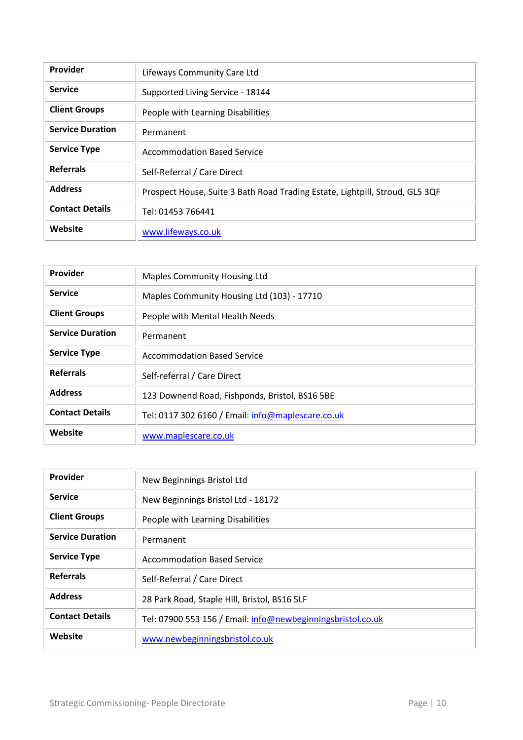| Provider                | Lifeways Community Care Ltd                                                  |
|-------------------------|------------------------------------------------------------------------------|
| <b>Service</b>          | Supported Living Service - 18144                                             |
| <b>Client Groups</b>    | People with Learning Disabilities                                            |
| <b>Service Duration</b> | Permanent                                                                    |
| <b>Service Type</b>     | <b>Accommodation Based Service</b>                                           |
| <b>Referrals</b>        | Self-Referral / Care Direct                                                  |
| <b>Address</b>          | Prospect House, Suite 3 Bath Road Trading Estate, Lightpill, Stroud, GL5 3QF |
| <b>Contact Details</b>  | Tel: 01453 766441                                                            |
| Website                 | www.lifeways.co.uk                                                           |

| Provider                | <b>Maples Community Housing Ltd</b>               |
|-------------------------|---------------------------------------------------|
| <b>Service</b>          | Maples Community Housing Ltd (103) - 17710        |
| <b>Client Groups</b>    | People with Mental Health Needs                   |
| <b>Service Duration</b> | Permanent                                         |
| <b>Service Type</b>     | <b>Accommodation Based Service</b>                |
| <b>Referrals</b>        | Self-referral / Care Direct                       |
| <b>Address</b>          | 123 Downend Road, Fishponds, Bristol, BS16 5BE    |
| <b>Contact Details</b>  | Tel: 0117 302 6160 / Email: info@maplescare.co.uk |
| Website                 | www.maplescare.co.uk                              |

| Provider                | New Beginnings Bristol Ltd                                  |
|-------------------------|-------------------------------------------------------------|
| <b>Service</b>          | New Beginnings Bristol Ltd - 18172                          |
| <b>Client Groups</b>    | People with Learning Disabilities                           |
| <b>Service Duration</b> | Permanent                                                   |
| <b>Service Type</b>     | Accommodation Based Service                                 |
| <b>Referrals</b>        | Self-Referral / Care Direct                                 |
| <b>Address</b>          | 28 Park Road, Staple Hill, Bristol, BS16 5LF                |
| <b>Contact Details</b>  | Tel: 07900 553 156 / Email: info@newbeginningsbristol.co.uk |
| Website                 | www.newbeginningsbristol.co.uk                              |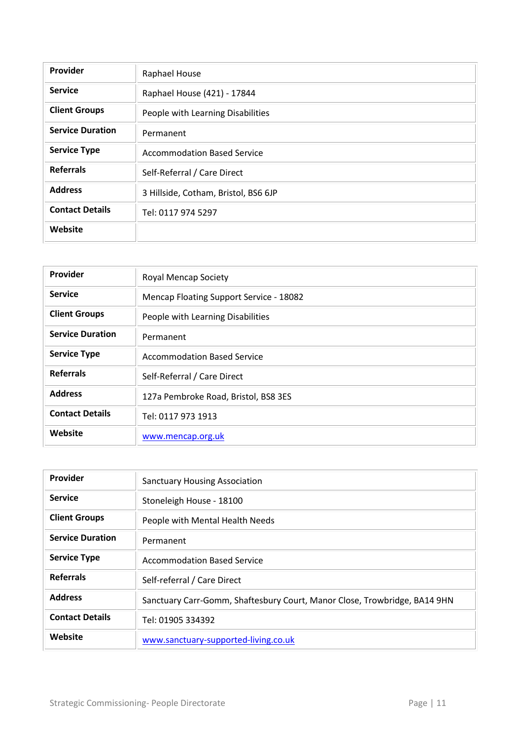| Provider                | Raphael House                        |
|-------------------------|--------------------------------------|
| <b>Service</b>          | Raphael House (421) - 17844          |
| <b>Client Groups</b>    | People with Learning Disabilities    |
| <b>Service Duration</b> | Permanent                            |
| <b>Service Type</b>     | <b>Accommodation Based Service</b>   |
| <b>Referrals</b>        | Self-Referral / Care Direct          |
| <b>Address</b>          | 3 Hillside, Cotham, Bristol, BS6 6JP |
| <b>Contact Details</b>  | Tel: 0117 974 5297                   |
| Website                 |                                      |

| Provider                | <b>Royal Mencap Society</b>             |
|-------------------------|-----------------------------------------|
| <b>Service</b>          | Mencap Floating Support Service - 18082 |
| <b>Client Groups</b>    | People with Learning Disabilities       |
| <b>Service Duration</b> | Permanent                               |
| <b>Service Type</b>     | <b>Accommodation Based Service</b>      |
| <b>Referrals</b>        | Self-Referral / Care Direct             |
| <b>Address</b>          | 127a Pembroke Road, Bristol, BS8 3ES    |
| <b>Contact Details</b>  | Tel: 0117 973 1913                      |
| Website                 | www.mencap.org.uk                       |

| Provider                | <b>Sanctuary Housing Association</b>                                      |
|-------------------------|---------------------------------------------------------------------------|
| <b>Service</b>          | Stoneleigh House - 18100                                                  |
| <b>Client Groups</b>    | People with Mental Health Needs                                           |
| <b>Service Duration</b> | Permanent                                                                 |
| <b>Service Type</b>     | <b>Accommodation Based Service</b>                                        |
| <b>Referrals</b>        | Self-referral / Care Direct                                               |
| <b>Address</b>          | Sanctuary Carr-Gomm, Shaftesbury Court, Manor Close, Trowbridge, BA14 9HN |
| <b>Contact Details</b>  | Tel: 01905 334392                                                         |
| Website                 | www.sanctuary-supported-living.co.uk                                      |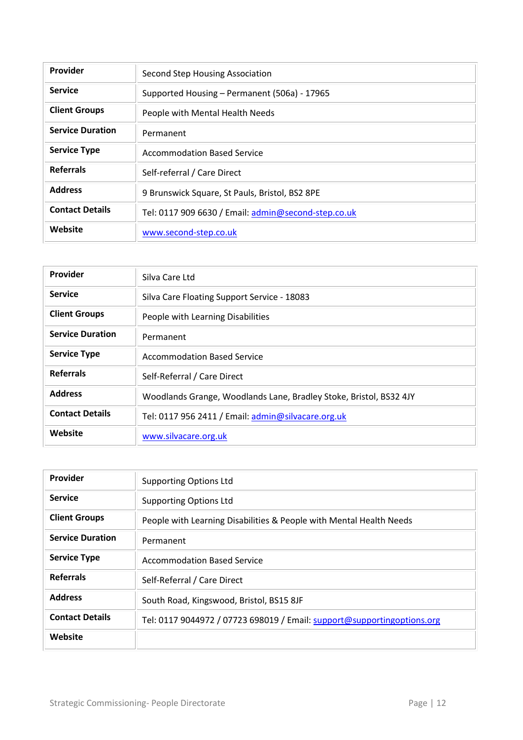| Provider                | Second Step Housing Association                     |
|-------------------------|-----------------------------------------------------|
| <b>Service</b>          | Supported Housing - Permanent (506a) - 17965        |
| <b>Client Groups</b>    | People with Mental Health Needs                     |
| <b>Service Duration</b> | Permanent                                           |
| <b>Service Type</b>     | <b>Accommodation Based Service</b>                  |
| <b>Referrals</b>        | Self-referral / Care Direct                         |
| <b>Address</b>          | 9 Brunswick Square, St Pauls, Bristol, BS2 8PE      |
| <b>Contact Details</b>  | Tel: 0117 909 6630 / Email: admin@second-step.co.uk |
| Website                 | www.second-step.co.uk                               |

| Provider                | Silva Care Ltd                                                     |
|-------------------------|--------------------------------------------------------------------|
| <b>Service</b>          | Silva Care Floating Support Service - 18083                        |
| <b>Client Groups</b>    | People with Learning Disabilities                                  |
| <b>Service Duration</b> | Permanent                                                          |
| <b>Service Type</b>     | <b>Accommodation Based Service</b>                                 |
| <b>Referrals</b>        | Self-Referral / Care Direct                                        |
| <b>Address</b>          | Woodlands Grange, Woodlands Lane, Bradley Stoke, Bristol, BS32 4JY |
| <b>Contact Details</b>  | Tel: 0117 956 2411 / Email: admin@silvacare.org.uk                 |
| Website                 | www.silvacare.org.uk                                               |

| Provider                | <b>Supporting Options Ltd</b>                                           |
|-------------------------|-------------------------------------------------------------------------|
| <b>Service</b>          | <b>Supporting Options Ltd</b>                                           |
| <b>Client Groups</b>    | People with Learning Disabilities & People with Mental Health Needs     |
| <b>Service Duration</b> | Permanent                                                               |
| <b>Service Type</b>     | Accommodation Based Service                                             |
| <b>Referrals</b>        | Self-Referral / Care Direct                                             |
| <b>Address</b>          | South Road, Kingswood, Bristol, BS15 8JF                                |
| <b>Contact Details</b>  | Tel: 0117 9044972 / 07723 698019 / Email: support@supportingoptions.org |
| Website                 |                                                                         |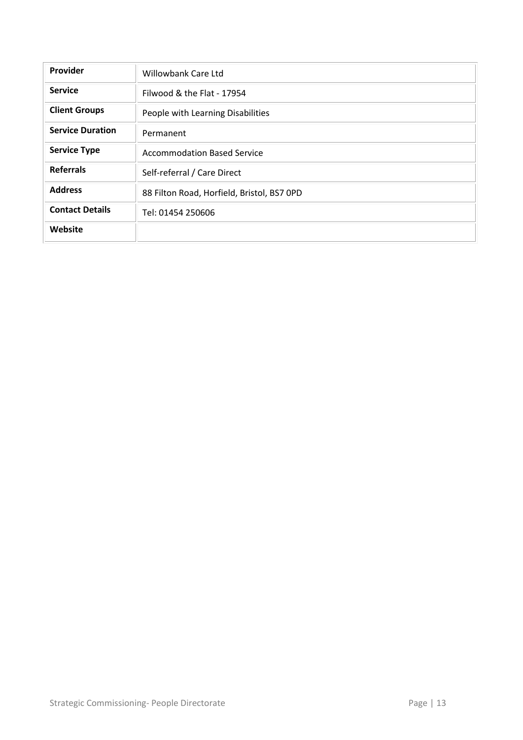| Provider                | <b>Willowbank Care Ltd</b>                 |
|-------------------------|--------------------------------------------|
| <b>Service</b>          | Filwood & the Flat - 17954                 |
| <b>Client Groups</b>    | People with Learning Disabilities          |
| <b>Service Duration</b> | Permanent                                  |
| <b>Service Type</b>     | <b>Accommodation Based Service</b>         |
| <b>Referrals</b>        | Self-referral / Care Direct                |
| <b>Address</b>          | 88 Filton Road, Horfield, Bristol, BS7 OPD |
| <b>Contact Details</b>  | Tel: 01454 250606                          |
| Website                 |                                            |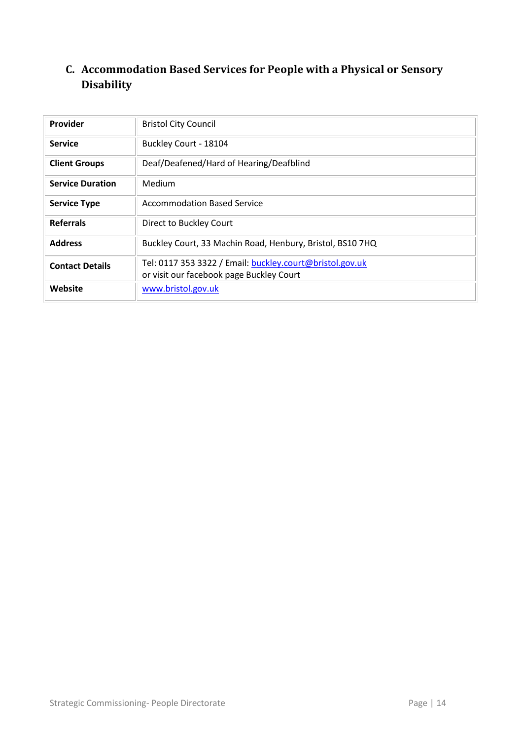#### <span id="page-13-0"></span>**C. Accommodation Based Services for People with a Physical or Sensory Disability**

| <b>Provider</b>         | <b>Bristol City Council</b>                                                                          |
|-------------------------|------------------------------------------------------------------------------------------------------|
| <b>Service</b>          | Buckley Court - 18104                                                                                |
| <b>Client Groups</b>    | Deaf/Deafened/Hard of Hearing/Deafblind                                                              |
| <b>Service Duration</b> | Medium                                                                                               |
| <b>Service Type</b>     | <b>Accommodation Based Service</b>                                                                   |
| <b>Referrals</b>        | Direct to Buckley Court                                                                              |
| <b>Address</b>          | Buckley Court, 33 Machin Road, Henbury, Bristol, BS10 7HQ                                            |
| <b>Contact Details</b>  | Tel: 0117 353 3322 / Email: buckley.court@bristol.gov.uk<br>or visit our facebook page Buckley Court |
| Website                 | www.bristol.gov.uk                                                                                   |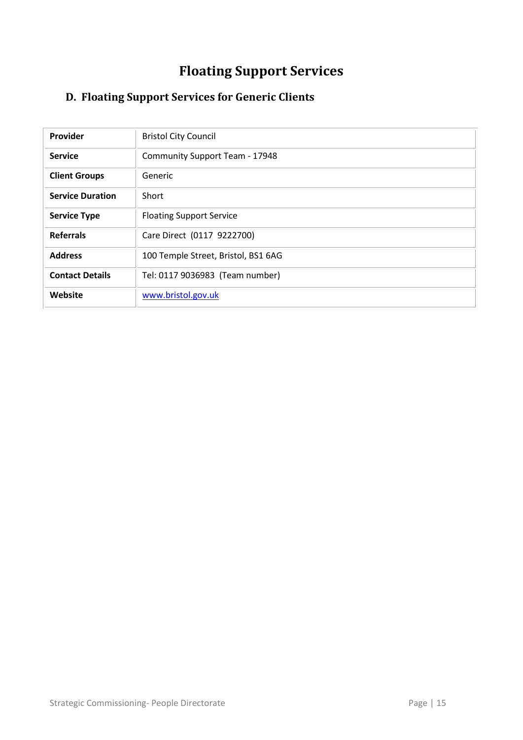# **Floating Support Services**

## <span id="page-14-1"></span><span id="page-14-0"></span>**D. Floating Support Services for Generic Clients**

| Provider                | <b>Bristol City Council</b>         |
|-------------------------|-------------------------------------|
| <b>Service</b>          | Community Support Team - 17948      |
| <b>Client Groups</b>    | Generic                             |
| <b>Service Duration</b> | Short                               |
| <b>Service Type</b>     | <b>Floating Support Service</b>     |
| <b>Referrals</b>        | Care Direct (0117 9222700)          |
| <b>Address</b>          | 100 Temple Street, Bristol, BS1 6AG |
| <b>Contact Details</b>  | Tel: 0117 9036983 (Team number)     |
| Website                 | www.bristol.gov.uk                  |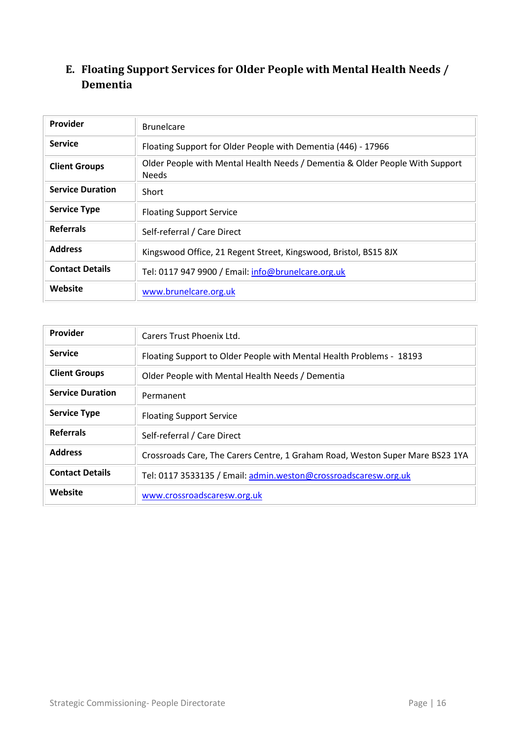#### <span id="page-15-0"></span>**E. Floating Support Services for Older People with Mental Health Needs / Dementia**

| <b>Provider</b>         | <b>Brunelcare</b>                                                                            |
|-------------------------|----------------------------------------------------------------------------------------------|
| <b>Service</b>          | Floating Support for Older People with Dementia (446) - 17966                                |
| <b>Client Groups</b>    | Older People with Mental Health Needs / Dementia & Older People With Support<br><b>Needs</b> |
| <b>Service Duration</b> | Short                                                                                        |
| <b>Service Type</b>     | <b>Floating Support Service</b>                                                              |
| <b>Referrals</b>        | Self-referral / Care Direct                                                                  |
| <b>Address</b>          | Kingswood Office, 21 Regent Street, Kingswood, Bristol, BS15 8JX                             |
| <b>Contact Details</b>  | Tel: 0117 947 9900 / Email: info@brunelcare.org.uk                                           |
| Website                 | www.brunelcare.org.uk                                                                        |

| Provider                | Carers Trust Phoenix Ltd.                                                     |
|-------------------------|-------------------------------------------------------------------------------|
| <b>Service</b>          | Floating Support to Older People with Mental Health Problems - 18193          |
| <b>Client Groups</b>    | Older People with Mental Health Needs / Dementia                              |
| <b>Service Duration</b> | Permanent                                                                     |
| <b>Service Type</b>     | <b>Floating Support Service</b>                                               |
| <b>Referrals</b>        | Self-referral / Care Direct                                                   |
| <b>Address</b>          | Crossroads Care, The Carers Centre, 1 Graham Road, Weston Super Mare BS23 1YA |
| <b>Contact Details</b>  | Tel: 0117 3533135 / Email: admin.weston@crossroadscaresw.org.uk               |
| Website                 | www.crossroadscaresw.org.uk                                                   |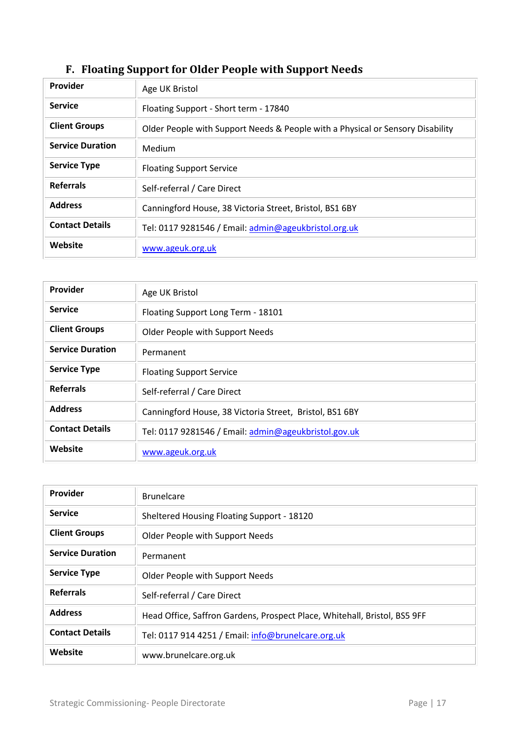<span id="page-16-0"></span>

| Provider                | Age UK Bristol                                                                 |
|-------------------------|--------------------------------------------------------------------------------|
| <b>Service</b>          | Floating Support - Short term - 17840                                          |
| <b>Client Groups</b>    | Older People with Support Needs & People with a Physical or Sensory Disability |
| <b>Service Duration</b> | Medium                                                                         |
| <b>Service Type</b>     | <b>Floating Support Service</b>                                                |
| <b>Referrals</b>        | Self-referral / Care Direct                                                    |
| <b>Address</b>          | Canningford House, 38 Victoria Street, Bristol, BS1 6BY                        |
| <b>Contact Details</b>  | Tel: 0117 9281546 / Email: admin@ageukbristol.org.uk                           |
| Website                 | www.ageuk.org.uk                                                               |

## **F. Floating Support for Older People with Support Needs**

| Provider                | Age UK Bristol                                          |
|-------------------------|---------------------------------------------------------|
| <b>Service</b>          | Floating Support Long Term - 18101                      |
| <b>Client Groups</b>    | Older People with Support Needs                         |
| <b>Service Duration</b> | Permanent                                               |
| <b>Service Type</b>     | <b>Floating Support Service</b>                         |
| <b>Referrals</b>        | Self-referral / Care Direct                             |
| <b>Address</b>          | Canningford House, 38 Victoria Street, Bristol, BS1 6BY |
| <b>Contact Details</b>  | Tel: 0117 9281546 / Email: admin@ageukbristol.gov.uk    |
| Website                 | www.ageuk.org.uk                                        |

| Provider                | <b>Brunelcare</b>                                                         |
|-------------------------|---------------------------------------------------------------------------|
| <b>Service</b>          | Sheltered Housing Floating Support - 18120                                |
| <b>Client Groups</b>    | Older People with Support Needs                                           |
| <b>Service Duration</b> | Permanent                                                                 |
| <b>Service Type</b>     | Older People with Support Needs                                           |
| <b>Referrals</b>        | Self-referral / Care Direct                                               |
| <b>Address</b>          | Head Office, Saffron Gardens, Prospect Place, Whitehall, Bristol, BS5 9FF |
| <b>Contact Details</b>  | Tel: 0117 914 4251 / Email: info@brunelcare.org.uk                        |
| Website                 | www.brunelcare.org.uk                                                     |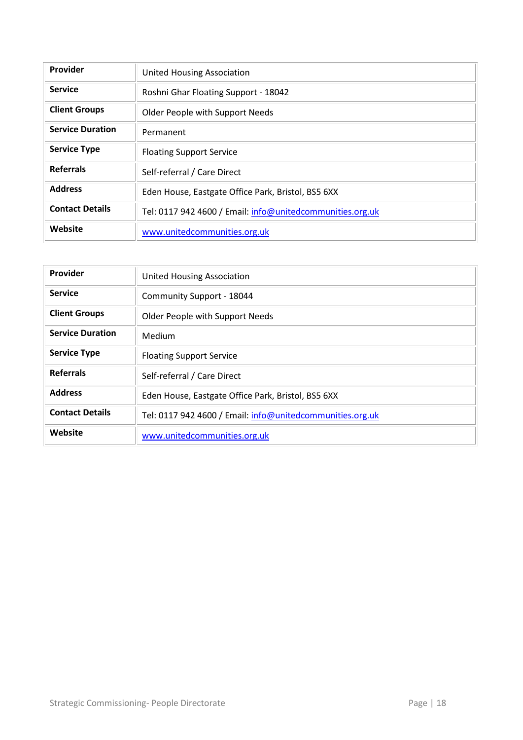| Provider                | <b>United Housing Association</b>                         |
|-------------------------|-----------------------------------------------------------|
| <b>Service</b>          | Roshni Ghar Floating Support - 18042                      |
| <b>Client Groups</b>    | <b>Older People with Support Needs</b>                    |
| <b>Service Duration</b> | Permanent                                                 |
| <b>Service Type</b>     | <b>Floating Support Service</b>                           |
| <b>Referrals</b>        | Self-referral / Care Direct                               |
| <b>Address</b>          | Eden House, Eastgate Office Park, Bristol, BS5 6XX        |
| <b>Contact Details</b>  | Tel: 0117 942 4600 / Email: info@unitedcommunities.org.uk |
| Website                 | www.unitedcommunities.org.uk                              |

| Provider                | <b>United Housing Association</b>                         |
|-------------------------|-----------------------------------------------------------|
| <b>Service</b>          | Community Support - 18044                                 |
| <b>Client Groups</b>    | Older People with Support Needs                           |
| <b>Service Duration</b> | Medium                                                    |
| <b>Service Type</b>     | <b>Floating Support Service</b>                           |
| <b>Referrals</b>        | Self-referral / Care Direct                               |
| <b>Address</b>          | Eden House, Eastgate Office Park, Bristol, BS5 6XX        |
| <b>Contact Details</b>  | Tel: 0117 942 4600 / Email: info@unitedcommunities.org.uk |
| Website                 | www.unitedcommunities.org.uk                              |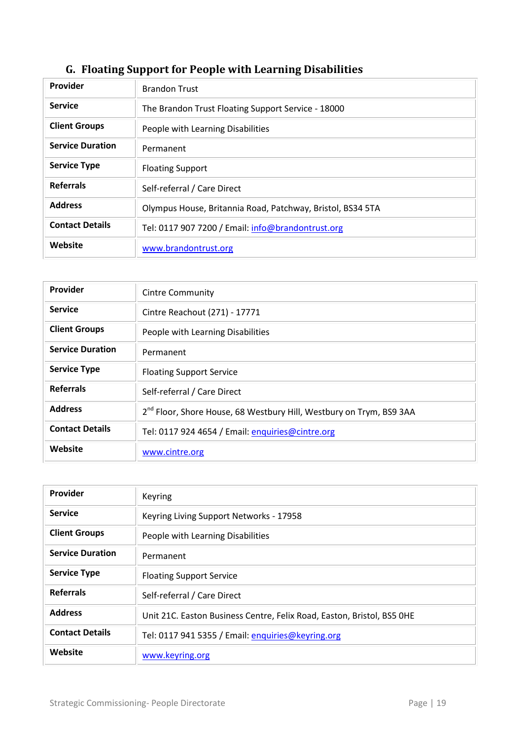<span id="page-18-0"></span>

| Provider                | <b>Brandon Trust</b>                                       |
|-------------------------|------------------------------------------------------------|
| <b>Service</b>          | The Brandon Trust Floating Support Service - 18000         |
| <b>Client Groups</b>    | People with Learning Disabilities                          |
| <b>Service Duration</b> | Permanent                                                  |
| <b>Service Type</b>     | <b>Floating Support</b>                                    |
| <b>Referrals</b>        | Self-referral / Care Direct                                |
| <b>Address</b>          | Olympus House, Britannia Road, Patchway, Bristol, BS34 5TA |
| <b>Contact Details</b>  | Tel: 0117 907 7200 / Email: info@brandontrust.org          |
| Website                 | www.brandontrust.org                                       |

## **G. Floating Support for People with Learning Disabilities**

| Provider                | <b>Cintre Community</b>                                                         |
|-------------------------|---------------------------------------------------------------------------------|
| <b>Service</b>          | Cintre Reachout (271) - 17771                                                   |
| <b>Client Groups</b>    | People with Learning Disabilities                                               |
| <b>Service Duration</b> | Permanent                                                                       |
| <b>Service Type</b>     | <b>Floating Support Service</b>                                                 |
| <b>Referrals</b>        | Self-referral / Care Direct                                                     |
| <b>Address</b>          | 2 <sup>nd</sup> Floor, Shore House, 68 Westbury Hill, Westbury on Trym, BS9 3AA |
| <b>Contact Details</b>  | Tel: 0117 924 4654 / Email: enquiries@cintre.org                                |
| Website                 | www.cintre.org                                                                  |

| Provider                | Keyring                                                                |
|-------------------------|------------------------------------------------------------------------|
| <b>Service</b>          | Keyring Living Support Networks - 17958                                |
| <b>Client Groups</b>    | People with Learning Disabilities                                      |
| <b>Service Duration</b> | Permanent                                                              |
| <b>Service Type</b>     | <b>Floating Support Service</b>                                        |
| <b>Referrals</b>        | Self-referral / Care Direct                                            |
| <b>Address</b>          | Unit 21C. Easton Business Centre, Felix Road, Easton, Bristol, BS5 OHE |
| <b>Contact Details</b>  | Tel: 0117 941 5355 / Email: enquiries@keyring.org                      |
| Website                 | www.keyring.org                                                        |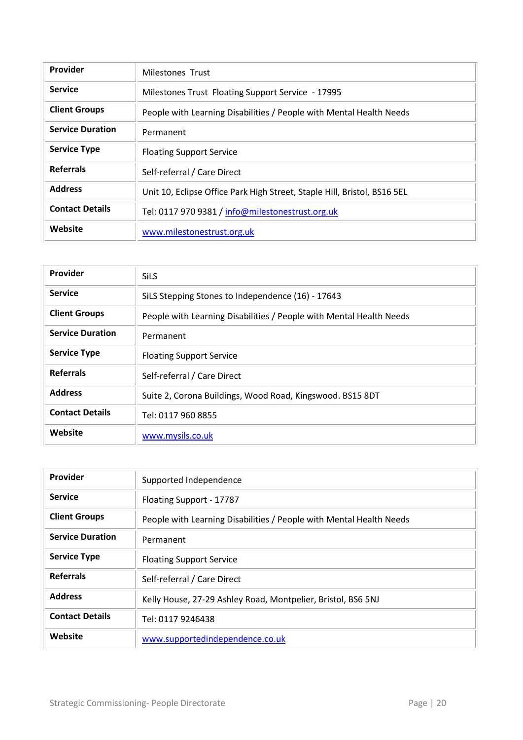| <b>Provider</b>         | Milestones Trust                                                         |
|-------------------------|--------------------------------------------------------------------------|
| <b>Service</b>          | Milestones Trust Floating Support Service - 17995                        |
| <b>Client Groups</b>    | People with Learning Disabilities / People with Mental Health Needs      |
| <b>Service Duration</b> | Permanent                                                                |
| <b>Service Type</b>     | <b>Floating Support Service</b>                                          |
| <b>Referrals</b>        | Self-referral / Care Direct                                              |
| <b>Address</b>          | Unit 10, Eclipse Office Park High Street, Staple Hill, Bristol, BS16 5EL |
| <b>Contact Details</b>  | Tel: 0117 970 9381 / info@milestonestrust.org.uk                         |
| Website                 | www.milestonestrust.org.uk                                               |

| Provider                | <b>SiLS</b>                                                         |
|-------------------------|---------------------------------------------------------------------|
| <b>Service</b>          | SiLS Stepping Stones to Independence (16) - 17643                   |
| <b>Client Groups</b>    | People with Learning Disabilities / People with Mental Health Needs |
| <b>Service Duration</b> | Permanent                                                           |
| <b>Service Type</b>     | <b>Floating Support Service</b>                                     |
| <b>Referrals</b>        | Self-referral / Care Direct                                         |
| <b>Address</b>          | Suite 2, Corona Buildings, Wood Road, Kingswood. BS15 8DT           |
| <b>Contact Details</b>  | Tel: 0117 960 8855                                                  |
| Website                 | www.mysils.co.uk                                                    |

| Provider                | Supported Independence                                              |
|-------------------------|---------------------------------------------------------------------|
| <b>Service</b>          | Floating Support - 17787                                            |
| <b>Client Groups</b>    | People with Learning Disabilities / People with Mental Health Needs |
| <b>Service Duration</b> | Permanent                                                           |
| <b>Service Type</b>     | <b>Floating Support Service</b>                                     |
| <b>Referrals</b>        | Self-referral / Care Direct                                         |
| <b>Address</b>          | Kelly House, 27-29 Ashley Road, Montpelier, Bristol, BS6 5NJ        |
| <b>Contact Details</b>  | Tel: 0117 9246438                                                   |
| Website                 | www.supportedindependence.co.uk                                     |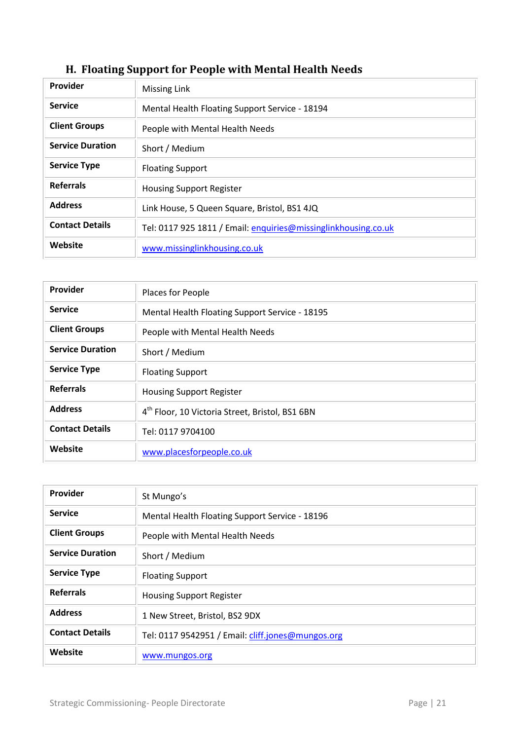| Provider                | <b>Missing Link</b>                                            |
|-------------------------|----------------------------------------------------------------|
| <b>Service</b>          | Mental Health Floating Support Service - 18194                 |
| <b>Client Groups</b>    | People with Mental Health Needs                                |
| <b>Service Duration</b> | Short / Medium                                                 |
| <b>Service Type</b>     | <b>Floating Support</b>                                        |
| <b>Referrals</b>        | <b>Housing Support Register</b>                                |
| <b>Address</b>          | Link House, 5 Queen Square, Bristol, BS1 4JQ                   |
| <b>Contact Details</b>  | Tel: 0117 925 1811 / Email: enquiries@missinglinkhousing.co.uk |
| Website                 | www.missinglinkhousing.co.uk                                   |

## <span id="page-20-0"></span>**H. Floating Support for People with Mental Health Needs**

| Provider                | Places for People                                           |
|-------------------------|-------------------------------------------------------------|
| <b>Service</b>          | Mental Health Floating Support Service - 18195              |
| <b>Client Groups</b>    | People with Mental Health Needs                             |
| <b>Service Duration</b> | Short / Medium                                              |
| <b>Service Type</b>     | <b>Floating Support</b>                                     |
| <b>Referrals</b>        | <b>Housing Support Register</b>                             |
| <b>Address</b>          | 4 <sup>th</sup> Floor, 10 Victoria Street, Bristol, BS1 6BN |
| <b>Contact Details</b>  | Tel: 0117 9704100                                           |
| Website                 | www.placesforpeople.co.uk                                   |

| Provider                | St Mungo's                                        |
|-------------------------|---------------------------------------------------|
| <b>Service</b>          | Mental Health Floating Support Service - 18196    |
| <b>Client Groups</b>    | People with Mental Health Needs                   |
| <b>Service Duration</b> | Short / Medium                                    |
| <b>Service Type</b>     | <b>Floating Support</b>                           |
| <b>Referrals</b>        | <b>Housing Support Register</b>                   |
| <b>Address</b>          | 1 New Street, Bristol, BS2 9DX                    |
| <b>Contact Details</b>  | Tel: 0117 9542951 / Email: cliff.jones@mungos.org |
| Website                 | www.mungos.org                                    |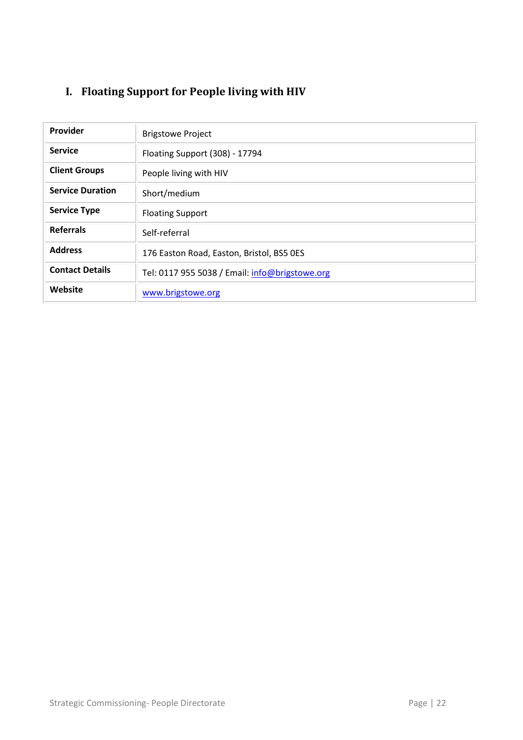## <span id="page-21-0"></span>**I. Floating Support for People living with HIV**

| Provider                |                                                |
|-------------------------|------------------------------------------------|
|                         | <b>Brigstowe Project</b>                       |
| <b>Service</b>          | Floating Support (308) - 17794                 |
| <b>Client Groups</b>    | People living with HIV                         |
| <b>Service Duration</b> | Short/medium                                   |
| <b>Service Type</b>     | <b>Floating Support</b>                        |
| <b>Referrals</b>        | Self-referral                                  |
| <b>Address</b>          | 176 Easton Road, Easton, Bristol, BS5 OES      |
| <b>Contact Details</b>  | Tel: 0117 955 5038 / Email: info@brigstowe.org |
| Website                 | www.brigstowe.org                              |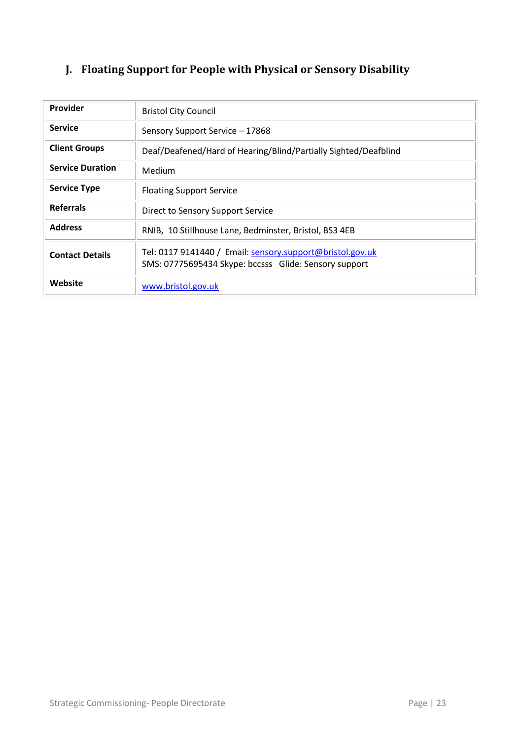## <span id="page-22-0"></span>**J. Floating Support for People with Physical or Sensory Disability**

| <b>Provider</b>         | <b>Bristol City Council</b>                                                                                        |
|-------------------------|--------------------------------------------------------------------------------------------------------------------|
| <b>Service</b>          | Sensory Support Service - 17868                                                                                    |
| <b>Client Groups</b>    | Deaf/Deafened/Hard of Hearing/Blind/Partially Sighted/Deafblind                                                    |
| <b>Service Duration</b> | Medium                                                                                                             |
| <b>Service Type</b>     | <b>Floating Support Service</b>                                                                                    |
| <b>Referrals</b>        | Direct to Sensory Support Service                                                                                  |
| <b>Address</b>          | RNIB, 10 Stillhouse Lane, Bedminster, Bristol, BS3 4EB                                                             |
| <b>Contact Details</b>  | Tel: 0117 9141440 / Email: sensory.support@bristol.gov.uk<br>SMS: 07775695434 Skype: bccsss Glide: Sensory support |
| Website                 | www.bristol.gov.uk                                                                                                 |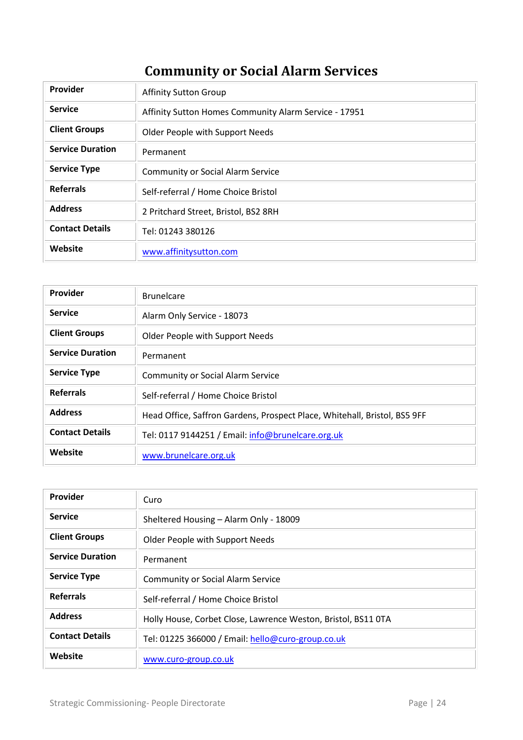# **Community or Social Alarm Services**

<span id="page-23-0"></span>

| Provider                | <b>Affinity Sutton Group</b>                          |
|-------------------------|-------------------------------------------------------|
| <b>Service</b>          | Affinity Sutton Homes Community Alarm Service - 17951 |
| <b>Client Groups</b>    | Older People with Support Needs                       |
| <b>Service Duration</b> | Permanent                                             |
| <b>Service Type</b>     | <b>Community or Social Alarm Service</b>              |
| <b>Referrals</b>        | Self-referral / Home Choice Bristol                   |
| <b>Address</b>          | 2 Pritchard Street, Bristol, BS2 8RH                  |
| <b>Contact Details</b>  | Tel: 01243 380126                                     |
| Website                 | www.affinitysutton.com                                |

| Provider                | <b>Brunelcare</b>                                                         |
|-------------------------|---------------------------------------------------------------------------|
| <b>Service</b>          | Alarm Only Service - 18073                                                |
| <b>Client Groups</b>    | Older People with Support Needs                                           |
| <b>Service Duration</b> | Permanent                                                                 |
| <b>Service Type</b>     | <b>Community or Social Alarm Service</b>                                  |
| <b>Referrals</b>        | Self-referral / Home Choice Bristol                                       |
| <b>Address</b>          | Head Office, Saffron Gardens, Prospect Place, Whitehall, Bristol, BS5 9FF |
| <b>Contact Details</b>  | Tel: 0117 9144251 / Email: info@brunelcare.org.uk                         |
| Website                 | www.brunelcare.org.uk                                                     |

| <b>Provider</b>         | Curo                                                          |
|-------------------------|---------------------------------------------------------------|
| <b>Service</b>          | Sheltered Housing - Alarm Only - 18009                        |
| <b>Client Groups</b>    | Older People with Support Needs                               |
| <b>Service Duration</b> | Permanent                                                     |
| <b>Service Type</b>     | <b>Community or Social Alarm Service</b>                      |
| <b>Referrals</b>        | Self-referral / Home Choice Bristol                           |
| <b>Address</b>          | Holly House, Corbet Close, Lawrence Weston, Bristol, BS11 OTA |
| <b>Contact Details</b>  | Tel: 01225 366000 / Email: hello@curo-group.co.uk             |
| Website                 | www.curo-group.co.uk                                          |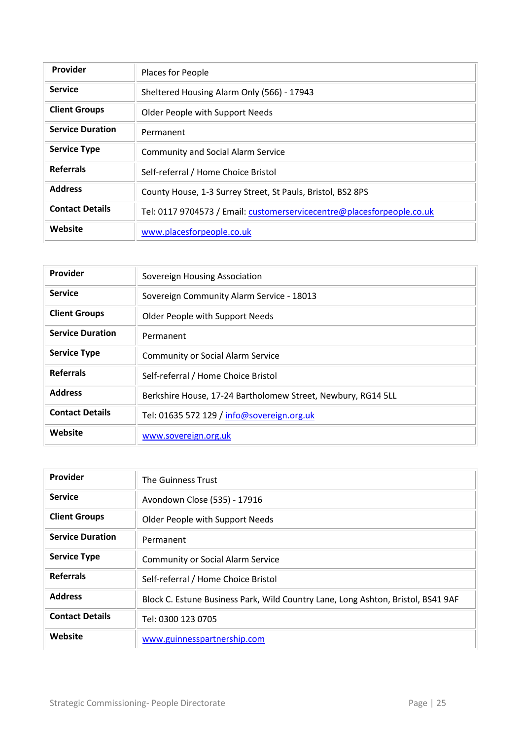| Provider                | Places for People                                                      |
|-------------------------|------------------------------------------------------------------------|
| <b>Service</b>          | Sheltered Housing Alarm Only (566) - 17943                             |
| <b>Client Groups</b>    | Older People with Support Needs                                        |
| <b>Service Duration</b> | Permanent                                                              |
| <b>Service Type</b>     | <b>Community and Social Alarm Service</b>                              |
| <b>Referrals</b>        | Self-referral / Home Choice Bristol                                    |
| <b>Address</b>          | County House, 1-3 Surrey Street, St Pauls, Bristol, BS2 8PS            |
| <b>Contact Details</b>  | Tel: 0117 9704573 / Email: customerservicecentre@placesforpeople.co.uk |
| Website                 | www.placesforpeople.co.uk                                              |

| Provider                | Sovereign Housing Association                                |
|-------------------------|--------------------------------------------------------------|
| <b>Service</b>          | Sovereign Community Alarm Service - 18013                    |
| <b>Client Groups</b>    | Older People with Support Needs                              |
| <b>Service Duration</b> | Permanent                                                    |
| <b>Service Type</b>     | <b>Community or Social Alarm Service</b>                     |
| <b>Referrals</b>        | Self-referral / Home Choice Bristol                          |
| <b>Address</b>          | Berkshire House, 17-24 Bartholomew Street, Newbury, RG14 5LL |
| <b>Contact Details</b>  | Tel: 01635 572 129 / info@sovereign.org.uk                   |
| Website                 | www.sovereign.org.uk                                         |

| Provider                | The Guinness Trust                                                               |
|-------------------------|----------------------------------------------------------------------------------|
| <b>Service</b>          | Avondown Close (535) - 17916                                                     |
| <b>Client Groups</b>    | Older People with Support Needs                                                  |
| <b>Service Duration</b> | Permanent                                                                        |
| <b>Service Type</b>     | <b>Community or Social Alarm Service</b>                                         |
| <b>Referrals</b>        | Self-referral / Home Choice Bristol                                              |
| <b>Address</b>          | Block C. Estune Business Park, Wild Country Lane, Long Ashton, Bristol, BS41 9AF |
| <b>Contact Details</b>  | Tel: 0300 123 0705                                                               |
| Website                 | www.guinnesspartnership.com                                                      |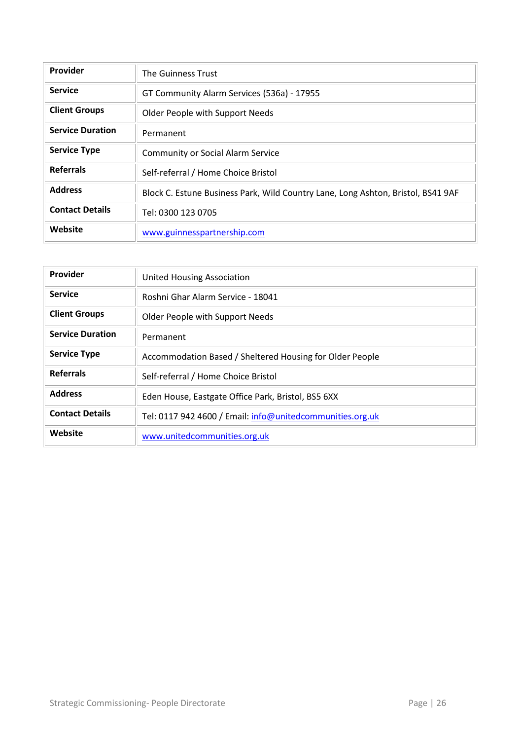| Provider                | The Guinness Trust                                                               |
|-------------------------|----------------------------------------------------------------------------------|
| <b>Service</b>          | GT Community Alarm Services (536a) - 17955                                       |
| <b>Client Groups</b>    | Older People with Support Needs                                                  |
| <b>Service Duration</b> | Permanent                                                                        |
| <b>Service Type</b>     | <b>Community or Social Alarm Service</b>                                         |
| <b>Referrals</b>        | Self-referral / Home Choice Bristol                                              |
| <b>Address</b>          | Block C. Estune Business Park, Wild Country Lane, Long Ashton, Bristol, BS41 9AF |
| <b>Contact Details</b>  | Tel: 0300 123 0705                                                               |
| Website                 | www.guinnesspartnership.com                                                      |

| <b>Provider</b>         | <b>United Housing Association</b>                         |
|-------------------------|-----------------------------------------------------------|
| <b>Service</b>          | Roshni Ghar Alarm Service - 18041                         |
| <b>Client Groups</b>    | Older People with Support Needs                           |
| <b>Service Duration</b> | Permanent                                                 |
| <b>Service Type</b>     | Accommodation Based / Sheltered Housing for Older People  |
| <b>Referrals</b>        | Self-referral / Home Choice Bristol                       |
| <b>Address</b>          | Eden House, Eastgate Office Park, Bristol, BS5 6XX        |
| <b>Contact Details</b>  | Tel: 0117 942 4600 / Email: info@unitedcommunities.org.uk |
| Website                 | www.unitedcommunities.org.uk                              |